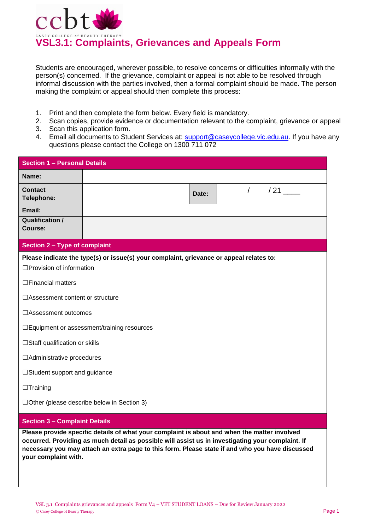

Students are encouraged, wherever possible, to resolve concerns or difficulties informally with the person(s) concerned. If the grievance, complaint or appeal is not able to be resolved through informal discussion with the parties involved, then a formal complaint should be made. The person making the complaint or appeal should then complete this process:

- 1. Print and then complete the form below. Every field is mandatory.
- 2. Scan copies, provide evidence or documentation relevant to the complaint, grievance or appeal
- 3. Scan this application form.
- 4. Email all documents to Student Services at: [support@caseycollege.](mailto:support@caseycollege)vic.edu.au. If you have any questions please contact the College on 1300 711 072

| <b>Section 1 - Personal Details</b>                                                                                                                                                                                                                                                                                          |                                                                                         |       |  |            |     |
|------------------------------------------------------------------------------------------------------------------------------------------------------------------------------------------------------------------------------------------------------------------------------------------------------------------------------|-----------------------------------------------------------------------------------------|-------|--|------------|-----|
| Name:                                                                                                                                                                                                                                                                                                                        |                                                                                         |       |  |            |     |
| <b>Contact</b><br>Telephone:                                                                                                                                                                                                                                                                                                 |                                                                                         | Date: |  | $\sqrt{2}$ | /21 |
| Email:                                                                                                                                                                                                                                                                                                                       |                                                                                         |       |  |            |     |
| <b>Qualification /</b><br>Course:                                                                                                                                                                                                                                                                                            |                                                                                         |       |  |            |     |
| Section 2 - Type of complaint                                                                                                                                                                                                                                                                                                |                                                                                         |       |  |            |     |
|                                                                                                                                                                                                                                                                                                                              | Please indicate the type(s) or issue(s) your complaint, grievance or appeal relates to: |       |  |            |     |
| □ Provision of information                                                                                                                                                                                                                                                                                                   |                                                                                         |       |  |            |     |
| $\Box$ Financial matters                                                                                                                                                                                                                                                                                                     |                                                                                         |       |  |            |     |
| □ Assessment content or structure                                                                                                                                                                                                                                                                                            |                                                                                         |       |  |            |     |
| $\Box$ Assessment outcomes                                                                                                                                                                                                                                                                                                   |                                                                                         |       |  |            |     |
| □ Equipment or assessment/training resources                                                                                                                                                                                                                                                                                 |                                                                                         |       |  |            |     |
| $\Box$ Staff qualification or skills                                                                                                                                                                                                                                                                                         |                                                                                         |       |  |            |     |
| □ Administrative procedures                                                                                                                                                                                                                                                                                                  |                                                                                         |       |  |            |     |
| $\Box$ Student support and guidance                                                                                                                                                                                                                                                                                          |                                                                                         |       |  |            |     |
| $\Box$ Training                                                                                                                                                                                                                                                                                                              |                                                                                         |       |  |            |     |
| $\Box$ Other (please describe below in Section 3)                                                                                                                                                                                                                                                                            |                                                                                         |       |  |            |     |
| <b>Section 3 - Complaint Details</b>                                                                                                                                                                                                                                                                                         |                                                                                         |       |  |            |     |
| Please provide specific details of what your complaint is about and when the matter involved<br>occurred. Providing as much detail as possible will assist us in investigating your complaint. If<br>necessary you may attach an extra page to this form. Please state if and who you have discussed<br>your complaint with. |                                                                                         |       |  |            |     |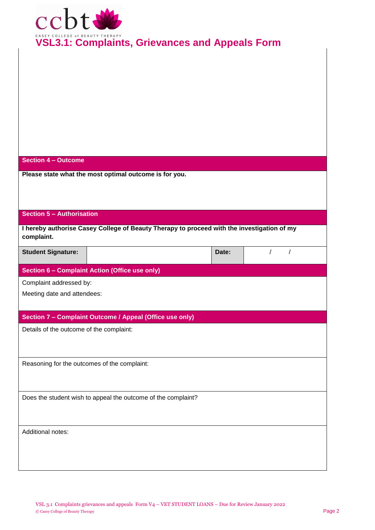

# **VSL3.1: Complaints, Grievances and Appeals Form**

#### **Section 4 – Outcome**

**Please state what the most optimal outcome is for you.**

#### **Section 5 – Authorisation**

**I hereby authorise Casey College of Beauty Therapy to proceed with the investigation of my complaint.**

| <b>Student Signature:</b> | Date: |  |
|---------------------------|-------|--|
|                           |       |  |

## **Section 6 – Complaint Action (Office use only)**

Complaint addressed by:

Meeting date and attendees:

### **Section 7 – Complaint Outcome / Appeal (Office use only)**

Details of the outcome of the complaint:

Reasoning for the outcomes of the complaint:

Does the student wish to appeal the outcome of the complaint?

Additional notes: